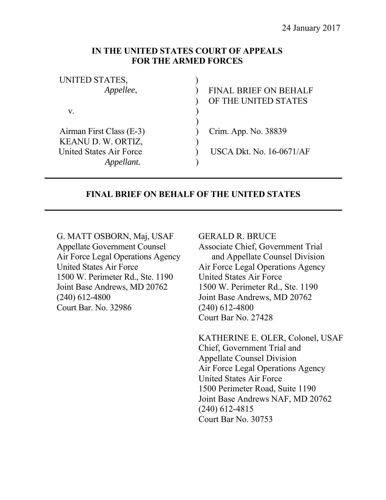## **IN THE UNITED STATES COURT OF APPEALS FOR THE ARMED FORCES**

| UNITED STATES,           |                                 |
|--------------------------|---------------------------------|
| Appellee,                | <b>FINAL BRIEF ON BEHALF</b>    |
|                          | OF THE UNITED STATES            |
| V.                       |                                 |
|                          |                                 |
| Airman First Class (E-3) | Crim. App. No. 38839            |
| KEANU D. W. ORTIZ,       |                                 |
| United States Air Force  | <b>USCA Dkt. No. 16-0671/AF</b> |
|                          |                                 |

## **FINAL BRIEF ON BEHALF OF THE UNITED STATES**

G. MATT OSBORN, Maj, USAF Appellate Government Counsel Air Force Legal Operations Agency United States Air Force 1500 W. Perimeter Rd., Ste. 1190 Joint Base Andrews, MD 20762 (240) 612-4800 Court Bar. No. 32986

#### GERALD R. BRUCE

Associate Chief, Government Trial and Appellate Counsel Division Air Force Legal Operations Agency United States Air Force 1500 W. Perimeter Rd., Ste. 1190 Joint Base Andrews, MD 20762 (240) 612-4800 Court Bar No. 27428

KATHERINE E. OLER, Colonel, USAF Chief, Government Trial and Appellate Counsel Division Air Force Legal Operations Agency United States Air Force 1500 Perimeter Road, Suite 1190 Joint Base Andrews NAF, MD 20762 (240) 612-4815 Court Bar No. 30753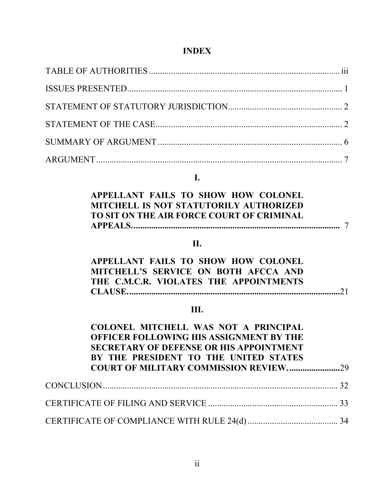# **INDEX**

# **I.**

| APPELLANT FAILS TO SHOW HOW COLONEL       |  |
|-------------------------------------------|--|
| MITCHELL IS NOT STATUTORILY AUTHORIZED    |  |
| TO SIT ON THE AIR FORCE COURT OF CRIMINAL |  |
|                                           |  |

# **II.**

| APPELLANT FAILS TO SHOW HOW COLONEL    |
|----------------------------------------|
| MITCHELL'S SERVICE ON BOTH AFCCA AND   |
| THE C.M.C.R. VIOLATES THE APPOINTMENTS |
|                                        |

# **III.**

| COLONEL MITCHELL WAS NOT A PRINCIPAL<br>OFFICER FOLLOWING HIS ASSIGNMENT BY THE<br><b>SECRETARY OF DEFENSE OR HIS APPOINTMENT</b><br>BY THE PRESIDENT TO THE UNITED STATES |  |
|----------------------------------------------------------------------------------------------------------------------------------------------------------------------------|--|
|                                                                                                                                                                            |  |
|                                                                                                                                                                            |  |
|                                                                                                                                                                            |  |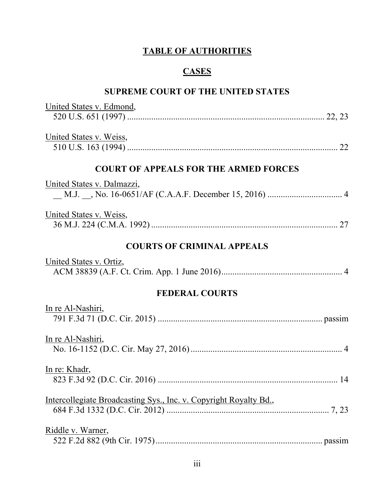# **TABLE OF AUTHORITIES**

# **CASES**

# **SUPREME COURT OF THE UNITED STATES**

| United States v. Edmond,                                          |
|-------------------------------------------------------------------|
| United States v. Weiss,                                           |
| <b>COURT OF APPEALS FOR THE ARMED FORCES</b>                      |
| United States v. Dalmazzi,                                        |
| United States v. Weiss,                                           |
| <b>COURTS OF CRIMINAL APPEALS</b>                                 |
| United States v. Ortiz,                                           |
| <b>FEDERAL COURTS</b>                                             |
| In re Al-Nashiri,                                                 |
| <u>In re Al-Nashiri,</u>                                          |
| In re: Khadr,                                                     |
| Intercollegiate Broadcasting Sys., Inc. v. Copyright Royalty Bd., |
| Riddle v. Warner,                                                 |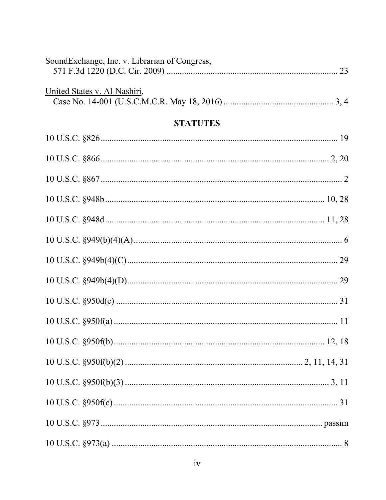| SoundExchange, Inc. v. Librarian of Congress, |
|-----------------------------------------------|
| United States v. Al-Nashiri,                  |
| <b>STATUTES</b>                               |
|                                               |
|                                               |
|                                               |
|                                               |
|                                               |
|                                               |
|                                               |
|                                               |
|                                               |
|                                               |
|                                               |
|                                               |
|                                               |
|                                               |
|                                               |
|                                               |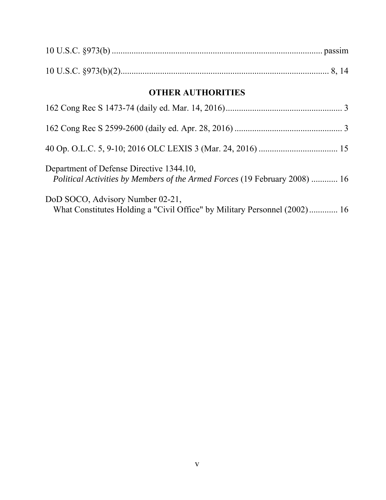| <b>OTHER AUTHORITIES</b>                                                                                               |  |  |
|------------------------------------------------------------------------------------------------------------------------|--|--|
|                                                                                                                        |  |  |
|                                                                                                                        |  |  |
|                                                                                                                        |  |  |
| Department of Defense Directive 1344.10,<br>Political Activities by Members of the Armed Forces (19 February 2008)  16 |  |  |
| DoD SOCO, Advisory Number 02-21,<br>What Constitutes Holding a "Civil Office" by Military Personnel (2002) 16          |  |  |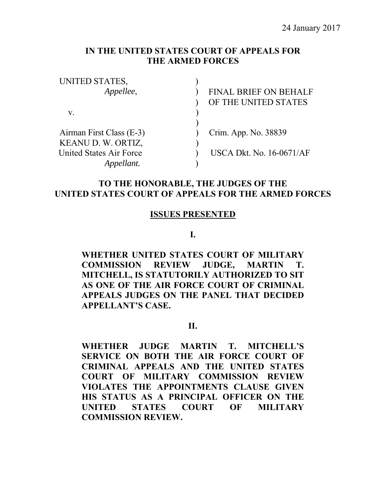## **IN THE UNITED STATES COURT OF APPEALS FOR THE ARMED FORCES**

| UNITED STATES,           |                                 |
|--------------------------|---------------------------------|
| Appellee,                | <b>FINAL BRIEF ON BEHALF</b>    |
|                          | OF THE UNITED STATES            |
| V.                       |                                 |
|                          |                                 |
| Airman First Class (E-3) | Crim. App. No. 38839            |
| KEANU D. W. ORTIZ,       |                                 |
| United States Air Force  | <b>USCA Dkt. No. 16-0671/AF</b> |
|                          |                                 |

## **TO THE HONORABLE, THE JUDGES OF THE UNITED STATES COURT OF APPEALS FOR THE ARMED FORCES**

#### **ISSUES PRESENTED**

**I.** 

**WHETHER UNITED STATES COURT OF MILITARY COMMISSION REVIEW JUDGE, MARTIN T. MITCHELL, IS STATUTORILY AUTHORIZED TO SIT AS ONE OF THE AIR FORCE COURT OF CRIMINAL APPEALS JUDGES ON THE PANEL THAT DECIDED APPELLANT'S CASE.** 

#### **II.**

**WHETHER JUDGE MARTIN T. MITCHELL'S SERVICE ON BOTH THE AIR FORCE COURT OF CRIMINAL APPEALS AND THE UNITED STATES COURT OF MILITARY COMMISSION REVIEW VIOLATES THE APPOINTMENTS CLAUSE GIVEN HIS STATUS AS A PRINCIPAL OFFICER ON THE UNITED STATES COURT OF MILITARY COMMISSION REVIEW.**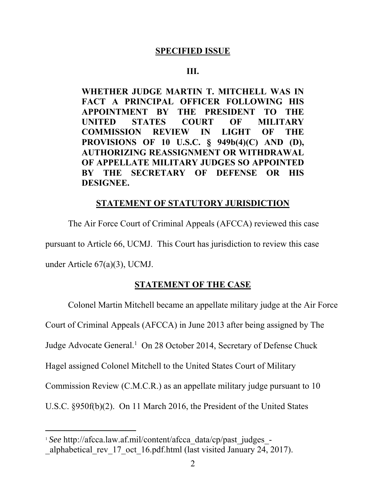### **SPECIFIED ISSUE**

### **III.**

**WHETHER JUDGE MARTIN T. MITCHELL WAS IN FACT A PRINCIPAL OFFICER FOLLOWING HIS APPOINTMENT BY THE PRESIDENT TO THE UNITED STATES COURT OF MILITARY COMMISSION REVIEW IN LIGHT OF THE PROVISIONS OF 10 U.S.C. § 949b(4)(C) AND (D), AUTHORIZING REASSIGNMENT OR WITHDRAWAL OF APPELLATE MILITARY JUDGES SO APPOINTED BY THE SECRETARY OF DEFENSE OR HIS DESIGNEE.** 

#### **STATEMENT OF STATUTORY JURISDICTION**

 The Air Force Court of Criminal Appeals (AFCCA) reviewed this case pursuant to Article 66, UCMJ. This Court has jurisdiction to review this case under Article 67(a)(3), UCMJ.

## **STATEMENT OF THE CASE**

Colonel Martin Mitchell became an appellate military judge at the Air Force

Court of Criminal Appeals (AFCCA) in June 2013 after being assigned by The

Judge Advocate General.<sup>1</sup> On 28 October 2014, Secretary of Defense Chuck

Hagel assigned Colonel Mitchell to the United States Court of Military

Commission Review (C.M.C.R.) as an appellate military judge pursuant to 10

U.S.C. §950f(b)(2). On 11 March 2016, the President of the United States

<sup>&</sup>lt;sup>1</sup> See http://afcca.law.af.mil/content/afcca\_data/cp/past\_judges\_alphabetical rev 17 oct 16.pdf.html (last visited January 24, 2017).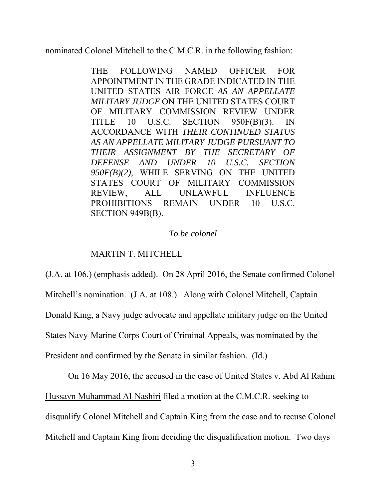nominated Colonel Mitchell to the C.M.C.R. in the following fashion:

THE FOLLOWING NAMED OFFICER FOR APPOINTMENT IN THE GRADE INDICATED IN THE UNITED STATES AIR FORCE *AS AN APPELLATE MILITARY JUDGE* ON THE UNITED STATES COURT OF MILITARY COMMISSION REVIEW UNDER TITLE 10 U.S.C. SECTION 950F(B)(3). IN ACCORDANCE WITH *THEIR CONTINUED STATUS AS AN APPELLATE MILITARY JUDGE PURSUANT TO THEIR ASSIGNMENT BY THE SECRETARY OF DEFENSE AND UNDER 10 U.S.C. SECTION 950F(B)(2)*, WHILE SERVING ON THE UNITED STATES COURT OF MILITARY COMMISSION REVIEW, ALL UNLAWFUL INFLUENCE PROHIBITIONS REMAIN UNDER 10 U.S.C. SECTION 949B(B).

### *To be colonel*

### MARTIN T. MITCHELL

(J.A. at 106.) (emphasis added). On 28 April 2016, the Senate confirmed Colonel Mitchell's nomination. (J.A. at 108.). Along with Colonel Mitchell, Captain Donald King, a Navy judge advocate and appellate military judge on the United States Navy-Marine Corps Court of Criminal Appeals, was nominated by the President and confirmed by the Senate in similar fashion. (Id.)

On 16 May 2016, the accused in the case of United States v. Abd Al Rahim Hussayn Muhammad Al-Nashiri filed a motion at the C.M.C.R. seeking to disqualify Colonel Mitchell and Captain King from the case and to recuse Colonel Mitchell and Captain King from deciding the disqualification motion. Two days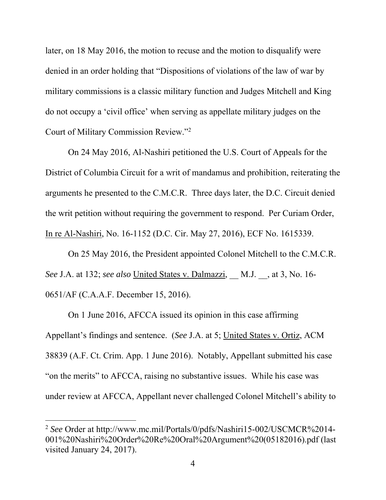later, on 18 May 2016, the motion to recuse and the motion to disqualify were denied in an order holding that "Dispositions of violations of the law of war by military commissions is a classic military function and Judges Mitchell and King do not occupy a 'civil office' when serving as appellate military judges on the Court of Military Commission Review."2

On 24 May 2016, Al-Nashiri petitioned the U.S. Court of Appeals for the District of Columbia Circuit for a writ of mandamus and prohibition, reiterating the arguments he presented to the C.M.C.R. Three days later, the D.C. Circuit denied the writ petition without requiring the government to respond. Per Curiam Order, In re Al-Nashiri, No. 16-1152 (D.C. Cir. May 27, 2016), ECF No. 1615339.

On 25 May 2016, the President appointed Colonel Mitchell to the C.M.C.R. *See* J.A. at 132; *see also* United States v. Dalmazzi, \_\_ M.J. \_\_, at 3, No. 16- 0651/AF (C.A.A.F. December 15, 2016).

On 1 June 2016, AFCCA issued its opinion in this case affirming Appellant's findings and sentence. (*See* J.A. at 5; United States v. Ortiz, ACM 38839 (A.F. Ct. Crim. App. 1 June 2016). Notably, Appellant submitted his case "on the merits" to AFCCA, raising no substantive issues. While his case was under review at AFCCA, Appellant never challenged Colonel Mitchell's ability to

<sup>&</sup>lt;sup>2</sup> See Order at http://www.mc.mil/Portals/0/pdfs/Nashiri15-002/USCMCR%2014-001%20Nashiri%20Order%20Re%20Oral%20Argument%20(05182016).pdf (last visited January 24, 2017).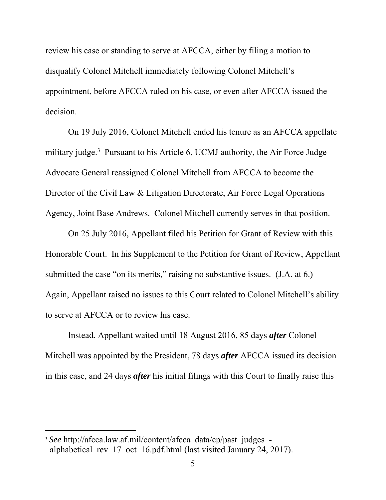review his case or standing to serve at AFCCA, either by filing a motion to disqualify Colonel Mitchell immediately following Colonel Mitchell's appointment, before AFCCA ruled on his case, or even after AFCCA issued the decision.

On 19 July 2016, Colonel Mitchell ended his tenure as an AFCCA appellate military judge.<sup>3</sup> Pursuant to his Article 6, UCMJ authority, the Air Force Judge Advocate General reassigned Colonel Mitchell from AFCCA to become the Director of the Civil Law & Litigation Directorate, Air Force Legal Operations Agency, Joint Base Andrews. Colonel Mitchell currently serves in that position.

On 25 July 2016, Appellant filed his Petition for Grant of Review with this Honorable Court. In his Supplement to the Petition for Grant of Review, Appellant submitted the case "on its merits," raising no substantive issues. (J.A. at 6.) Again, Appellant raised no issues to this Court related to Colonel Mitchell's ability to serve at AFCCA or to review his case.

Instead, Appellant waited until 18 August 2016, 85 days *after* Colonel Mitchell was appointed by the President, 78 days *after* AFCCA issued its decision in this case, and 24 days *after* his initial filings with this Court to finally raise this

<sup>&</sup>lt;sup>3</sup> See http://afcca.law.af.mil/content/afcca\_data/cp/past\_judges\_-

alphabetical rev 17 oct 16.pdf.html (last visited January 24, 2017).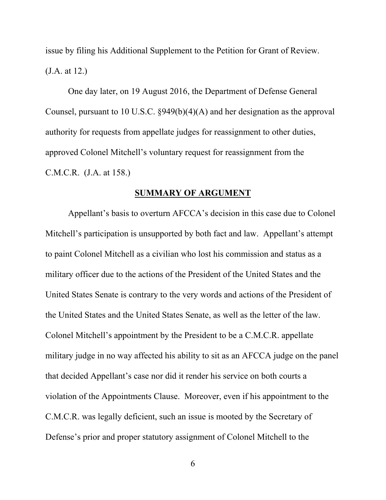issue by filing his Additional Supplement to the Petition for Grant of Review. (J.A. at 12.)

One day later, on 19 August 2016, the Department of Defense General Counsel, pursuant to 10 U.S.C. §949(b)(4)(A) and her designation as the approval authority for requests from appellate judges for reassignment to other duties, approved Colonel Mitchell's voluntary request for reassignment from the C.M.C.R. (J.A. at 158.)

#### **SUMMARY OF ARGUMENT**

Appellant's basis to overturn AFCCA's decision in this case due to Colonel Mitchell's participation is unsupported by both fact and law. Appellant's attempt to paint Colonel Mitchell as a civilian who lost his commission and status as a military officer due to the actions of the President of the United States and the United States Senate is contrary to the very words and actions of the President of the United States and the United States Senate, as well as the letter of the law. Colonel Mitchell's appointment by the President to be a C.M.C.R. appellate military judge in no way affected his ability to sit as an AFCCA judge on the panel that decided Appellant's case nor did it render his service on both courts a violation of the Appointments Clause. Moreover, even if his appointment to the C.M.C.R. was legally deficient, such an issue is mooted by the Secretary of Defense's prior and proper statutory assignment of Colonel Mitchell to the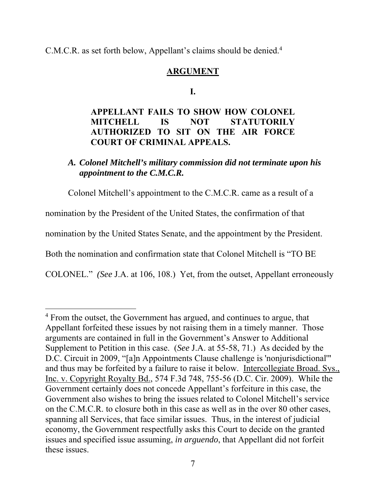C.M.C.R. as set forth below, Appellant's claims should be denied.<sup>4</sup>

## **ARGUMENT**

### **I.**

# **APPELLANT FAILS TO SHOW HOW COLONEL MITCHELL IS NOT STATUTORILY AUTHORIZED TO SIT ON THE AIR FORCE COURT OF CRIMINAL APPEALS.**

## *A. Colonel Mitchell's military commission did not terminate upon his appointment to the C.M.C.R.*

Colonel Mitchell's appointment to the C.M.C.R. came as a result of a nomination by the President of the United States, the confirmation of that nomination by the United States Senate, and the appointment by the President. Both the nomination and confirmation state that Colonel Mitchell is "TO BE COLONEL." *(See* J.A. at 106, 108.) Yet, from the outset, Appellant erroneously

<sup>&</sup>lt;sup>4</sup> From the outset, the Government has argued, and continues to argue, that Appellant forfeited these issues by not raising them in a timely manner. Those arguments are contained in full in the Government's Answer to Additional Supplement to Petition in this case. (*See* J.A. at 55-58, 71.) As decided by the D.C. Circuit in 2009, "[a]n Appointments Clause challenge is 'nonjurisdictional'" and thus may be forfeited by a failure to raise it below. Intercollegiate Broad. Sys., Inc. v. Copyright Royalty Bd., 574 F.3d 748, 755-56 (D.C. Cir. 2009). While the Government certainly does not concede Appellant's forfeiture in this case, the Government also wishes to bring the issues related to Colonel Mitchell's service on the C.M.C.R. to closure both in this case as well as in the over 80 other cases, spanning all Services, that face similar issues. Thus, in the interest of judicial economy, the Government respectfully asks this Court to decide on the granted issues and specified issue assuming, *in arguendo*, that Appellant did not forfeit these issues.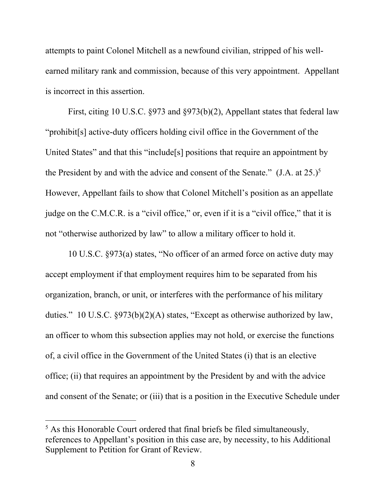attempts to paint Colonel Mitchell as a newfound civilian, stripped of his wellearned military rank and commission, because of this very appointment. Appellant is incorrect in this assertion.

First, citing 10 U.S.C. §973 and §973(b)(2), Appellant states that federal law "prohibit[s] active-duty officers holding civil office in the Government of the United States" and that this "include[s] positions that require an appointment by the President by and with the advice and consent of the Senate."  $(J.A. at 25.)^5$ However, Appellant fails to show that Colonel Mitchell's position as an appellate judge on the C.M.C.R. is a "civil office," or, even if it is a "civil office," that it is not "otherwise authorized by law" to allow a military officer to hold it.

10 U.S.C. §973(a) states, "No officer of an armed force on active duty may accept employment if that employment requires him to be separated from his organization, branch, or unit, or interferes with the performance of his military duties." 10 U.S.C. §973(b)(2)(A) states, "Except as otherwise authorized by law, an officer to whom this subsection applies may not hold, or exercise the functions of, a civil office in the Government of the United States (i) that is an elective office; (ii) that requires an appointment by the President by and with the advice and consent of the Senate; or (iii) that is a position in the Executive Schedule under

 $<sup>5</sup>$  As this Honorable Court ordered that final briefs be filed simultaneously,</sup> references to Appellant's position in this case are, by necessity, to his Additional Supplement to Petition for Grant of Review.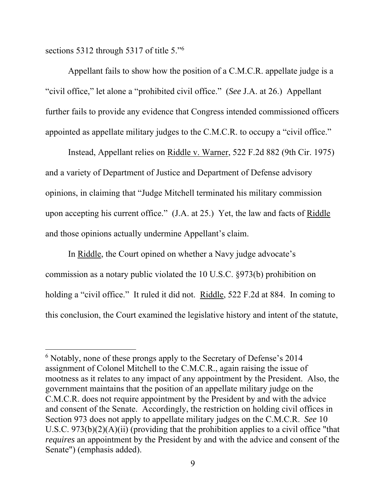sections 5312 through 5317 of title 5."<sup>6</sup>

 $\overline{a}$ 

Appellant fails to show how the position of a C.M.C.R. appellate judge is a "civil office," let alone a "prohibited civil office." (*See* J.A. at 26.) Appellant further fails to provide any evidence that Congress intended commissioned officers appointed as appellate military judges to the C.M.C.R. to occupy a "civil office."

Instead, Appellant relies on Riddle v. Warner, 522 F.2d 882 (9th Cir. 1975) and a variety of Department of Justice and Department of Defense advisory opinions, in claiming that "Judge Mitchell terminated his military commission upon accepting his current office." (J.A. at 25.) Yet, the law and facts of Riddle and those opinions actually undermine Appellant's claim.

In Riddle, the Court opined on whether a Navy judge advocate's commission as a notary public violated the 10 U.S.C. §973(b) prohibition on holding a "civil office." It ruled it did not. Riddle, 522 F.2d at 884. In coming to this conclusion, the Court examined the legislative history and intent of the statute,

<sup>&</sup>lt;sup>6</sup> Notably, none of these prongs apply to the Secretary of Defense's 2014 assignment of Colonel Mitchell to the C.M.C.R., again raising the issue of mootness as it relates to any impact of any appointment by the President. Also, the government maintains that the position of an appellate military judge on the C.M.C.R. does not require appointment by the President by and with the advice and consent of the Senate. Accordingly, the restriction on holding civil offices in Section 973 does not apply to appellate military judges on the C.M.C.R. *See* 10 U.S.C.  $973(b)(2)(A)(ii)$  (providing that the prohibition applies to a civil office "that *requires* an appointment by the President by and with the advice and consent of the Senate") (emphasis added).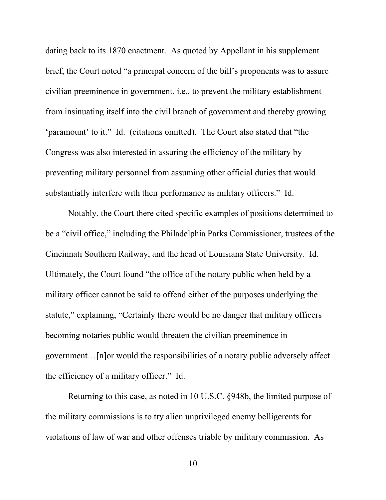dating back to its 1870 enactment. As quoted by Appellant in his supplement brief, the Court noted "a principal concern of the bill's proponents was to assure civilian preeminence in government, i.e., to prevent the military establishment from insinuating itself into the civil branch of government and thereby growing 'paramount' to it." Id.(citations omitted). The Court also stated that "the Congress was also interested in assuring the efficiency of the military by preventing military personnel from assuming other official duties that would substantially interfere with their performance as military officers." Id.

Notably, the Court there cited specific examples of positions determined to be a "civil office," including the Philadelphia Parks Commissioner, trustees of the Cincinnati Southern Railway, and the head of Louisiana State University. Id. Ultimately, the Court found "the office of the notary public when held by a military officer cannot be said to offend either of the purposes underlying the statute," explaining, "Certainly there would be no danger that military officers becoming notaries public would threaten the civilian preeminence in government…[n]or would the responsibilities of a notary public adversely affect the efficiency of a military officer." Id.

Returning to this case, as noted in 10 U.S.C. §948b, the limited purpose of the military commissions is to try alien unprivileged enemy belligerents for violations of law of war and other offenses triable by military commission. As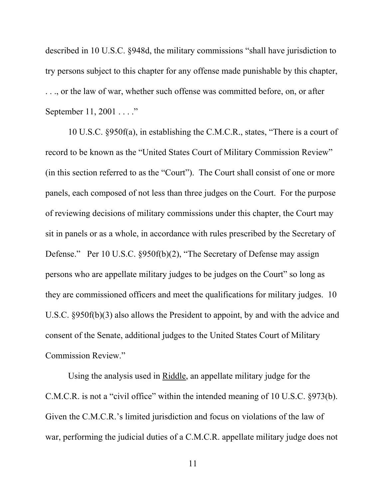described in 10 U.S.C. §948d, the military commissions "shall have jurisdiction to try persons subject to this chapter for any offense made punishable by this chapter, . . ., or the law of war, whether such offense was committed before, on, or after September 11, 2001 . . . . "

10 U.S.C. §950f(a), in establishing the C.M.C.R., states, "There is a court of record to be known as the "United States Court of Military Commission Review" (in this section referred to as the "Court"). The Court shall consist of one or more panels, each composed of not less than three judges on the Court. For the purpose of reviewing decisions of military commissions under this chapter, the Court may sit in panels or as a whole, in accordance with rules prescribed by the Secretary of Defense." Per 10 U.S.C. §950f(b)(2), "The Secretary of Defense may assign persons who are appellate military judges to be judges on the Court" so long as they are commissioned officers and meet the qualifications for military judges. 10 U.S.C. §950f(b)(3) also allows the President to appoint, by and with the advice and consent of the Senate, additional judges to the United States Court of Military Commission Review."

Using the analysis used in Riddle, an appellate military judge for the C.M.C.R. is not a "civil office" within the intended meaning of 10 U.S.C. §973(b). Given the C.M.C.R.'s limited jurisdiction and focus on violations of the law of war, performing the judicial duties of a C.M.C.R. appellate military judge does not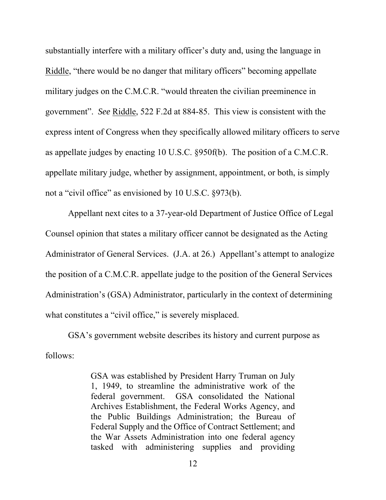substantially interfere with a military officer's duty and, using the language in Riddle, "there would be no danger that military officers" becoming appellate military judges on the C.M.C.R. "would threaten the civilian preeminence in government". *See* Riddle, 522 F.2d at 884-85. This view is consistent with the express intent of Congress when they specifically allowed military officers to serve as appellate judges by enacting 10 U.S.C. §950f(b). The position of a C.M.C.R. appellate military judge, whether by assignment, appointment, or both, is simply not a "civil office" as envisioned by 10 U.S.C. §973(b).

Appellant next cites to a 37-year-old Department of Justice Office of Legal Counsel opinion that states a military officer cannot be designated as the Acting Administrator of General Services. (J.A. at 26.) Appellant's attempt to analogize the position of a C.M.C.R. appellate judge to the position of the General Services Administration's (GSA) Administrator, particularly in the context of determining what constitutes a "civil office," is severely misplaced.

GSA's government website describes its history and current purpose as follows:

> GSA was established by President Harry Truman on July 1, 1949, to streamline the administrative work of the federal government. GSA consolidated the National Archives Establishment, the Federal Works Agency, and the Public Buildings Administration; the Bureau of Federal Supply and the Office of Contract Settlement; and the War Assets Administration into one federal agency tasked with administering supplies and providing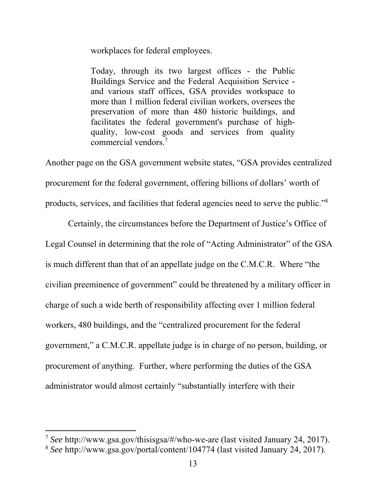workplaces for federal employees.

Today, through its two largest offices - the Public Buildings Service and the Federal Acquisition Service and various staff offices, GSA provides workspace to more than 1 million federal civilian workers, oversees the preservation of more than 480 historic buildings, and facilitates the federal government's purchase of highquality, low-cost goods and services from quality commercial vendors.7

Another page on the GSA government website states, "GSA provides centralized procurement for the federal government, offering billions of dollars' worth of products, services, and facilities that federal agencies need to serve the public."<sup>8</sup>

Certainly, the circumstances before the Department of Justice's Office of Legal Counsel in determining that the role of "Acting Administrator" of the GSA is much different than that of an appellate judge on the C.M.C.R. Where "the civilian preeminence of government" could be threatened by a military officer in charge of such a wide berth of responsibility affecting over 1 million federal workers, 480 buildings, and the "centralized procurement for the federal government," a C.M.C.R. appellate judge is in charge of no person, building, or procurement of anything. Further, where performing the duties of the GSA administrator would almost certainly "substantially interfere with their

<sup>7</sup> *See* http://www.gsa.gov/thisisgsa/#/who-we-are (last visited January 24, 2017).

<sup>8</sup> *See* http://www.gsa.gov/portal/content/104774 (last visited January 24, 2017).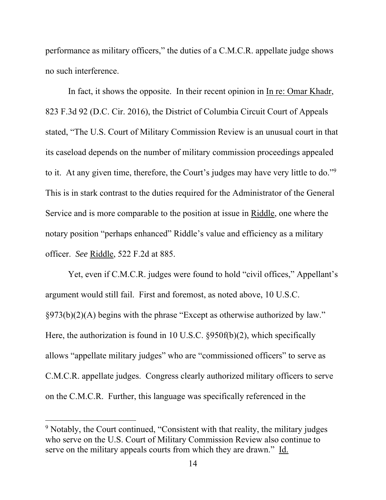performance as military officers," the duties of a C.M.C.R. appellate judge shows no such interference.

In fact, it shows the opposite. In their recent opinion in In re: Omar Khadr, 823 F.3d 92 (D.C. Cir. 2016), the District of Columbia Circuit Court of Appeals stated, "The U.S. Court of Military Commission Review is an unusual court in that its caseload depends on the number of military commission proceedings appealed to it. At any given time, therefore, the Court's judges may have very little to do."<sup>9</sup> This is in stark contrast to the duties required for the Administrator of the General Service and is more comparable to the position at issue in Riddle, one where the notary position "perhaps enhanced" Riddle's value and efficiency as a military officer. *See* Riddle, 522 F.2d at 885.

Yet, even if C.M.C.R. judges were found to hold "civil offices," Appellant's argument would still fail. First and foremost, as noted above, 10 U.S.C. §973(b)(2)(A) begins with the phrase "Except as otherwise authorized by law." Here, the authorization is found in 10 U.S.C. §950f(b)(2), which specifically allows "appellate military judges" who are "commissioned officers" to serve as C.M.C.R. appellate judges. Congress clearly authorized military officers to serve on the C.M.C.R. Further, this language was specifically referenced in the

<sup>&</sup>lt;sup>9</sup> Notably, the Court continued, "Consistent with that reality, the military judges who serve on the U.S. Court of Military Commission Review also continue to serve on the military appeals courts from which they are drawn." Id.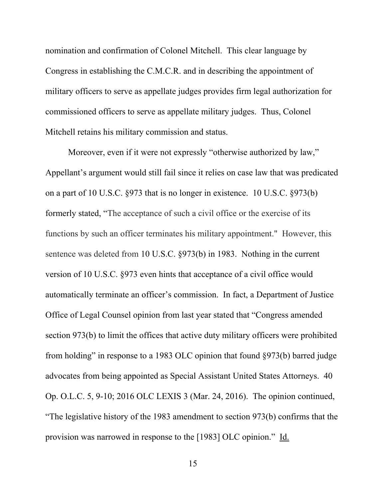nomination and confirmation of Colonel Mitchell. This clear language by Congress in establishing the C.M.C.R. and in describing the appointment of military officers to serve as appellate judges provides firm legal authorization for commissioned officers to serve as appellate military judges. Thus, Colonel Mitchell retains his military commission and status.

Moreover, even if it were not expressly "otherwise authorized by law," Appellant's argument would still fail since it relies on case law that was predicated on a part of 10 U.S.C. §973 that is no longer in existence. 10 U.S.C. §973(b) formerly stated, "The acceptance of such a civil office or the exercise of its functions by such an officer terminates his military appointment." However, this sentence was deleted from 10 U.S.C. §973(b) in 1983. Nothing in the current version of 10 U.S.C. §973 even hints that acceptance of a civil office would automatically terminate an officer's commission. In fact, a Department of Justice Office of Legal Counsel opinion from last year stated that "Congress amended section 973(b) to limit the offices that active duty military officers were prohibited from holding" in response to a 1983 OLC opinion that found §973(b) barred judge advocates from being appointed as Special Assistant United States Attorneys. 40 Op. O.L.C. 5, 9-10; 2016 OLC LEXIS 3 (Mar. 24, 2016). The opinion continued, "The legislative history of the 1983 amendment to section 973(b) confirms that the provision was narrowed in response to the [1983] OLC opinion." Id.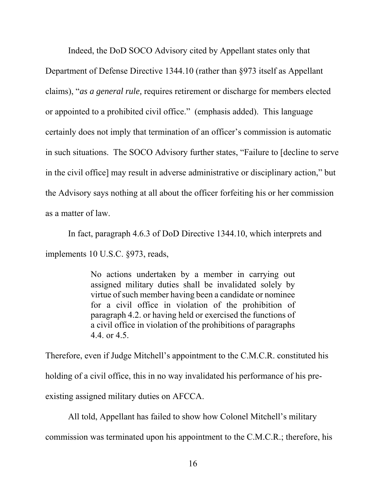Indeed, the DoD SOCO Advisory cited by Appellant states only that Department of Defense Directive 1344.10 (rather than §973 itself as Appellant claims), "*as a general rule,* requires retirement or discharge for members elected or appointed to a prohibited civil office." (emphasis added). This language certainly does not imply that termination of an officer's commission is automatic in such situations. The SOCO Advisory further states, "Failure to [decline to serve in the civil office] may result in adverse administrative or disciplinary action," but the Advisory says nothing at all about the officer forfeiting his or her commission as a matter of law.

In fact, paragraph 4.6.3 of DoD Directive 1344.10, which interprets and implements 10 U.S.C. §973, reads,

> No actions undertaken by a member in carrying out assigned military duties shall be invalidated solely by virtue of such member having been a candidate or nominee for a civil office in violation of the prohibition of paragraph 4.2. or having held or exercised the functions of a civil office in violation of the prohibitions of paragraphs 4.4. or 4.5.

Therefore, even if Judge Mitchell's appointment to the C.M.C.R. constituted his holding of a civil office, this in no way invalidated his performance of his preexisting assigned military duties on AFCCA.

All told, Appellant has failed to show how Colonel Mitchell's military commission was terminated upon his appointment to the C.M.C.R.; therefore, his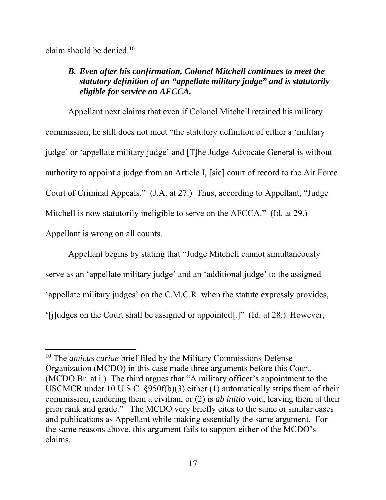claim should be denied.10

 $\overline{a}$ 

# *B. Even after his confirmation, Colonel Mitchell continues to meet the statutory definition of an "appellate military judge" and is statutorily eligible for service on AFCCA.*

Appellant next claims that even if Colonel Mitchell retained his military commission, he still does not meet "the statutory definition of either a 'military judge' or 'appellate military judge' and [T]he Judge Advocate General is without authority to appoint a judge from an Article I, [sic] court of record to the Air Force Court of Criminal Appeals." (J.A. at 27.) Thus, according to Appellant, "Judge Mitchell is now statutorily ineligible to serve on the AFCCA." (Id. at 29.) Appellant is wrong on all counts.

Appellant begins by stating that "Judge Mitchell cannot simultaneously serve as an 'appellate military judge' and an 'additional judge' to the assigned 'appellate military judges' on the C.M.C.R. when the statute expressly provides, '[j]udges on the Court shall be assigned or appointed[.]" (Id. at 28.) However,

<sup>10</sup> The *amicus curiae* brief filed by the Military Commissions Defense Organization (MCDO) in this case made three arguments before this Court. (MCDO Br. at i.) The third argues that "A military officer's appointment to the USCMCR under 10 U.S.C. §950f(b)(3) either (1) automatically strips them of their commission, rendering them a civilian, or (2) is *ab initio* void, leaving them at their prior rank and grade." The MCDO very briefly cites to the same or similar cases and publications as Appellant while making essentially the same argument. For the same reasons above, this argument fails to support either of the MCDO's claims.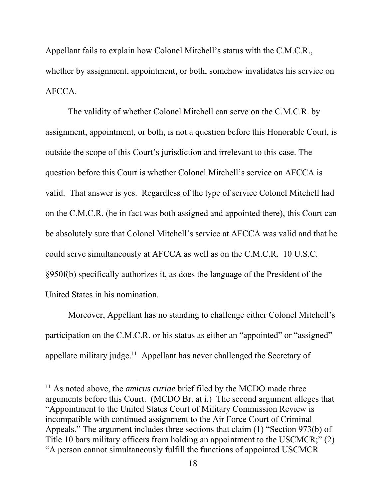Appellant fails to explain how Colonel Mitchell's status with the C.M.C.R., whether by assignment, appointment, or both, somehow invalidates his service on AFCCA.

 The validity of whether Colonel Mitchell can serve on the C.M.C.R. by assignment, appointment, or both, is not a question before this Honorable Court, is outside the scope of this Court's jurisdiction and irrelevant to this case. The question before this Court is whether Colonel Mitchell's service on AFCCA is valid. That answer is yes. Regardless of the type of service Colonel Mitchell had on the C.M.C.R. (he in fact was both assigned and appointed there), this Court can be absolutely sure that Colonel Mitchell's service at AFCCA was valid and that he could serve simultaneously at AFCCA as well as on the C.M.C.R. 10 U.S.C. §950f(b) specifically authorizes it, as does the language of the President of the United States in his nomination.

Moreover, Appellant has no standing to challenge either Colonel Mitchell's participation on the C.M.C.R. or his status as either an "appointed" or "assigned" appellate military judge.<sup>11</sup> Appellant has never challenged the Secretary of

<sup>&</sup>lt;sup>11</sup> As noted above, the *amicus curiae* brief filed by the MCDO made three arguments before this Court. (MCDO Br. at i.) The second argument alleges that "Appointment to the United States Court of Military Commission Review is incompatible with continued assignment to the Air Force Court of Criminal Appeals." The argument includes three sections that claim (1) "Section 973(b) of Title 10 bars military officers from holding an appointment to the USCMCR;" (2) "A person cannot simultaneously fulfill the functions of appointed USCMCR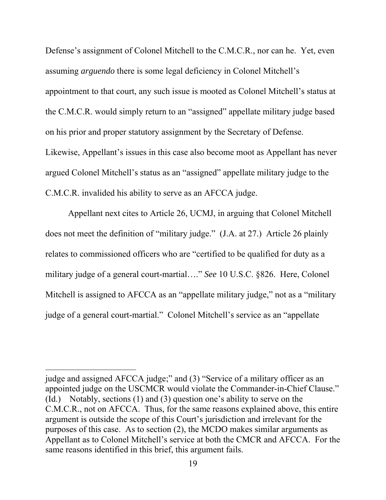Defense's assignment of Colonel Mitchell to the C.M.C.R., nor can he. Yet, even assuming *arguendo* there is some legal deficiency in Colonel Mitchell's appointment to that court, any such issue is mooted as Colonel Mitchell's status at the C.M.C.R. would simply return to an "assigned" appellate military judge based on his prior and proper statutory assignment by the Secretary of Defense. Likewise, Appellant's issues in this case also become moot as Appellant has never argued Colonel Mitchell's status as an "assigned" appellate military judge to the C.M.C.R. invalided his ability to serve as an AFCCA judge.

Appellant next cites to Article 26, UCMJ, in arguing that Colonel Mitchell does not meet the definition of "military judge." (J.A. at 27.) Article 26 plainly relates to commissioned officers who are "certified to be qualified for duty as a military judge of a general court-martial…." *See* 10 U.S.C. §826. Here, Colonel Mitchell is assigned to AFCCA as an "appellate military judge," not as a "military judge of a general court-martial." Colonel Mitchell's service as an "appellate

judge and assigned AFCCA judge;" and (3) "Service of a military officer as an appointed judge on the USCMCR would violate the Commander-in-Chief Clause." (Id.) Notably, sections (1) and (3) question one's ability to serve on the C.M.C.R., not on AFCCA. Thus, for the same reasons explained above, this entire argument is outside the scope of this Court's jurisdiction and irrelevant for the purposes of this case. As to section (2), the MCDO makes similar arguments as Appellant as to Colonel Mitchell's service at both the CMCR and AFCCA. For the same reasons identified in this brief, this argument fails.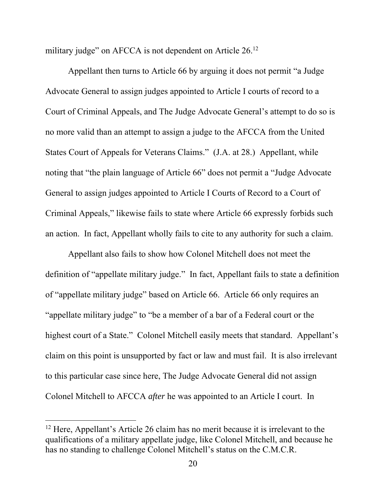military judge" on AFCCA is not dependent on Article 26.<sup>12</sup>

Appellant then turns to Article 66 by arguing it does not permit "a Judge Advocate General to assign judges appointed to Article I courts of record to a Court of Criminal Appeals, and The Judge Advocate General's attempt to do so is no more valid than an attempt to assign a judge to the AFCCA from the United States Court of Appeals for Veterans Claims." (J.A. at 28.) Appellant, while noting that "the plain language of Article 66" does not permit a "Judge Advocate General to assign judges appointed to Article I Courts of Record to a Court of Criminal Appeals," likewise fails to state where Article 66 expressly forbids such an action. In fact, Appellant wholly fails to cite to any authority for such a claim.

Appellant also fails to show how Colonel Mitchell does not meet the definition of "appellate military judge." In fact, Appellant fails to state a definition of "appellate military judge" based on Article 66. Article 66 only requires an "appellate military judge" to "be a member of a bar of a Federal court or the highest court of a State." Colonel Mitchell easily meets that standard. Appellant's claim on this point is unsupported by fact or law and must fail. It is also irrelevant to this particular case since here, The Judge Advocate General did not assign Colonel Mitchell to AFCCA *after* he was appointed to an Article I court. In

 $12$  Here, Appellant's Article 26 claim has no merit because it is irrelevant to the qualifications of a military appellate judge, like Colonel Mitchell, and because he has no standing to challenge Colonel Mitchell's status on the C.M.C.R.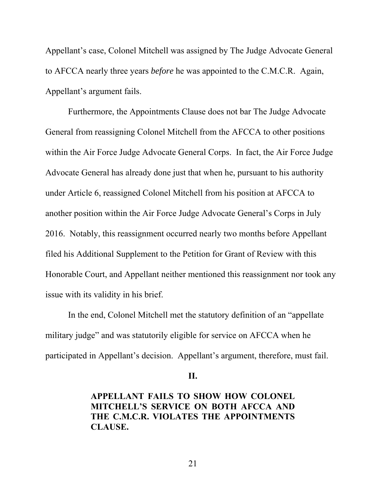Appellant's case, Colonel Mitchell was assigned by The Judge Advocate General to AFCCA nearly three years *before* he was appointed to the C.M.C.R. Again, Appellant's argument fails.

Furthermore, the Appointments Clause does not bar The Judge Advocate General from reassigning Colonel Mitchell from the AFCCA to other positions within the Air Force Judge Advocate General Corps. In fact, the Air Force Judge Advocate General has already done just that when he, pursuant to his authority under Article 6, reassigned Colonel Mitchell from his position at AFCCA to another position within the Air Force Judge Advocate General's Corps in July 2016. Notably, this reassignment occurred nearly two months before Appellant filed his Additional Supplement to the Petition for Grant of Review with this Honorable Court, and Appellant neither mentioned this reassignment nor took any issue with its validity in his brief.

 In the end, Colonel Mitchell met the statutory definition of an "appellate military judge" and was statutorily eligible for service on AFCCA when he participated in Appellant's decision. Appellant's argument, therefore, must fail.

**II.**

**APPELLANT FAILS TO SHOW HOW COLONEL MITCHELL'S SERVICE ON BOTH AFCCA AND THE C.M.C.R. VIOLATES THE APPOINTMENTS CLAUSE.**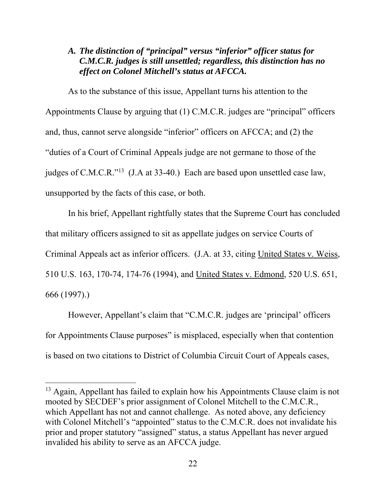## *A. The distinction of "principal" versus "inferior" officer status for C.M.C.R. judges is still unsettled; regardless, this distinction has no effect on Colonel Mitchell's status at AFCCA.*

As to the substance of this issue, Appellant turns his attention to the Appointments Clause by arguing that (1) C.M.C.R. judges are "principal" officers and, thus, cannot serve alongside "inferior" officers on AFCCA; and (2) the "duties of a Court of Criminal Appeals judge are not germane to those of the judges of C.M.C.R."<sup>13</sup> (J.A at 33-40.) Each are based upon unsettled case law, unsupported by the facts of this case, or both.

In his brief, Appellant rightfully states that the Supreme Court has concluded that military officers assigned to sit as appellate judges on service Courts of Criminal Appeals act as inferior officers. (J.A. at 33, citing United States v. Weiss, 510 U.S. 163, 170-74, 174-76 (1994), and United States v. Edmond, 520 U.S. 651, 666 (1997).)

However, Appellant's claim that "C.M.C.R. judges are 'principal' officers for Appointments Clause purposes" is misplaced, especially when that contention is based on two citations to District of Columbia Circuit Court of Appeals cases,

<sup>&</sup>lt;sup>13</sup> Again, Appellant has failed to explain how his Appointments Clause claim is not mooted by SECDEF's prior assignment of Colonel Mitchell to the C.M.C.R., which Appellant has not and cannot challenge. As noted above, any deficiency with Colonel Mitchell's "appointed" status to the C.M.C.R. does not invalidate his prior and proper statutory "assigned" status, a status Appellant has never argued invalided his ability to serve as an AFCCA judge.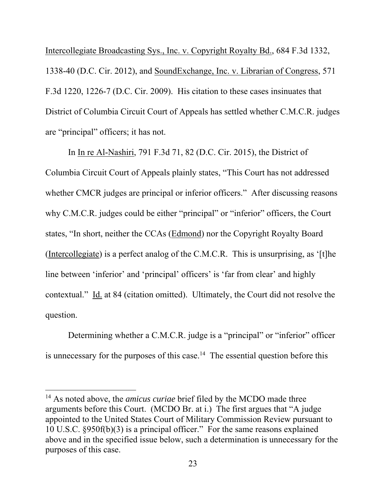Intercollegiate Broadcasting Sys., Inc. v. Copyright Royalty Bd., 684 F.3d 1332, 1338-40 (D.C. Cir. 2012), and SoundExchange, Inc. v. Librarian of Congress, 571 F.3d 1220, 1226-7 (D.C. Cir. 2009). His citation to these cases insinuates that District of Columbia Circuit Court of Appeals has settled whether C.M.C.R. judges are "principal" officers; it has not.

In In re Al-Nashiri, 791 F.3d 71, 82 (D.C. Cir. 2015), the District of Columbia Circuit Court of Appeals plainly states, "This Court has not addressed whether CMCR judges are principal or inferior officers." After discussing reasons why C.M.C.R. judges could be either "principal" or "inferior" officers, the Court states, "In short, neither the CCAs (Edmond) nor the Copyright Royalty Board (Intercollegiate) is a perfect analog of the C.M.C.R. This is unsurprising, as '[t]he line between 'inferior' and 'principal' officers' is 'far from clear' and highly contextual." Id. at 84 (citation omitted). Ultimately, the Court did not resolve the question.

Determining whether a C.M.C.R. judge is a "principal" or "inferior" officer is unnecessary for the purposes of this case.<sup>14</sup> The essential question before this

<sup>14</sup> As noted above, the *amicus curiae* brief filed by the MCDO made three arguments before this Court. (MCDO Br. at i.) The first argues that "A judge appointed to the United States Court of Military Commission Review pursuant to 10 U.S.C. §950f(b)(3) is a principal officer." For the same reasons explained above and in the specified issue below, such a determination is unnecessary for the purposes of this case.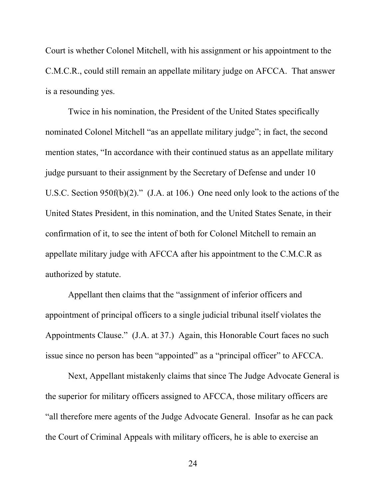Court is whether Colonel Mitchell, with his assignment or his appointment to the C.M.C.R., could still remain an appellate military judge on AFCCA. That answer is a resounding yes.

Twice in his nomination, the President of the United States specifically nominated Colonel Mitchell "as an appellate military judge"; in fact, the second mention states, "In accordance with their continued status as an appellate military judge pursuant to their assignment by the Secretary of Defense and under 10 U.S.C. Section 950f(b)(2)." (J.A. at 106.) One need only look to the actions of the United States President, in this nomination, and the United States Senate, in their confirmation of it, to see the intent of both for Colonel Mitchell to remain an appellate military judge with AFCCA after his appointment to the C.M.C.R as authorized by statute.

Appellant then claims that the "assignment of inferior officers and appointment of principal officers to a single judicial tribunal itself violates the Appointments Clause." (J.A. at 37.) Again, this Honorable Court faces no such issue since no person has been "appointed" as a "principal officer" to AFCCA.

Next, Appellant mistakenly claims that since The Judge Advocate General is the superior for military officers assigned to AFCCA, those military officers are "all therefore mere agents of the Judge Advocate General. Insofar as he can pack the Court of Criminal Appeals with military officers, he is able to exercise an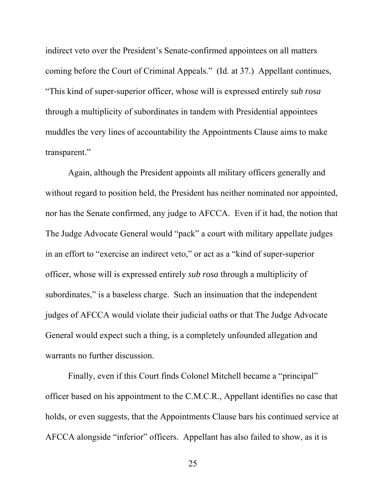indirect veto over the President's Senate-confirmed appointees on all matters coming before the Court of Criminal Appeals." (Id. at 37.) Appellant continues, "This kind of super-superior officer, whose will is expressed entirely *sub rosa* through a multiplicity of subordinates in tandem with Presidential appointees muddles the very lines of accountability the Appointments Clause aims to make transparent."

Again, although the President appoints all military officers generally and without regard to position held, the President has neither nominated nor appointed, nor has the Senate confirmed, any judge to AFCCA. Even if it had, the notion that The Judge Advocate General would "pack" a court with military appellate judges in an effort to "exercise an indirect veto," or act as a "kind of super-superior officer, whose will is expressed entirely *sub rosa* through a multiplicity of subordinates," is a baseless charge. Such an insinuation that the independent judges of AFCCA would violate their judicial oaths or that The Judge Advocate General would expect such a thing, is a completely unfounded allegation and warrants no further discussion.

Finally, even if this Court finds Colonel Mitchell became a "principal" officer based on his appointment to the C.M.C.R., Appellant identifies no case that holds, or even suggests, that the Appointments Clause bars his continued service at AFCCA alongside "inferior" officers. Appellant has also failed to show, as it is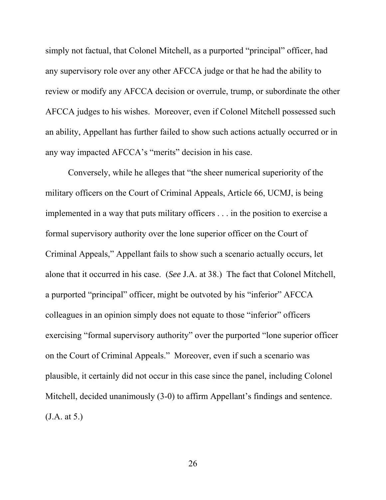simply not factual, that Colonel Mitchell, as a purported "principal" officer, had any supervisory role over any other AFCCA judge or that he had the ability to review or modify any AFCCA decision or overrule, trump, or subordinate the other AFCCA judges to his wishes. Moreover, even if Colonel Mitchell possessed such an ability, Appellant has further failed to show such actions actually occurred or in any way impacted AFCCA's "merits" decision in his case.

Conversely, while he alleges that "the sheer numerical superiority of the military officers on the Court of Criminal Appeals, Article 66, UCMJ, is being implemented in a way that puts military officers . . . in the position to exercise a formal supervisory authority over the lone superior officer on the Court of Criminal Appeals," Appellant fails to show such a scenario actually occurs, let alone that it occurred in his case. (*See* J.A. at 38.) The fact that Colonel Mitchell, a purported "principal" officer, might be outvoted by his "inferior" AFCCA colleagues in an opinion simply does not equate to those "inferior" officers exercising "formal supervisory authority" over the purported "lone superior officer on the Court of Criminal Appeals." Moreover, even if such a scenario was plausible, it certainly did not occur in this case since the panel, including Colonel Mitchell, decided unanimously (3-0) to affirm Appellant's findings and sentence. (J.A. at 5.)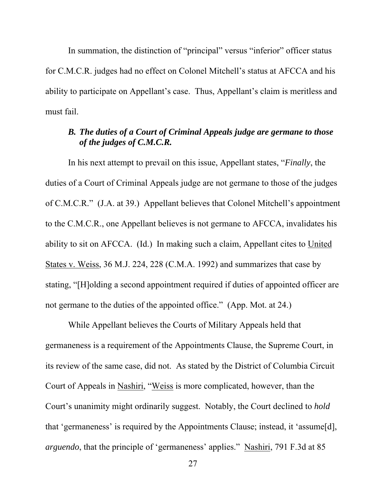In summation, the distinction of "principal" versus "inferior" officer status for C.M.C.R. judges had no effect on Colonel Mitchell's status at AFCCA and his ability to participate on Appellant's case. Thus, Appellant's claim is meritless and must fail.

# *B. The duties of a Court of Criminal Appeals judge are germane to those of the judges of C.M.C.R.*

 In his next attempt to prevail on this issue, Appellant states, "*Finally*, the duties of a Court of Criminal Appeals judge are not germane to those of the judges of C.M.C.R." (J.A. at 39.) Appellant believes that Colonel Mitchell's appointment to the C.M.C.R., one Appellant believes is not germane to AFCCA, invalidates his ability to sit on AFCCA. (Id.) In making such a claim, Appellant cites to United States v. Weiss, 36 M.J. 224, 228 (C.M.A. 1992) and summarizes that case by stating, "[H]olding a second appointment required if duties of appointed officer are not germane to the duties of the appointed office." (App. Mot. at 24.)

While Appellant believes the Courts of Military Appeals held that germaneness is a requirement of the Appointments Clause, the Supreme Court, in its review of the same case, did not. As stated by the District of Columbia Circuit Court of Appeals in Nashiri, "Weiss is more complicated, however, than the Court's unanimity might ordinarily suggest. Notably, the Court declined to *hold* that 'germaneness' is required by the Appointments Clause; instead, it 'assume[d], *arguendo*, that the principle of 'germaneness' applies." Nashiri, 791 F.3d at 85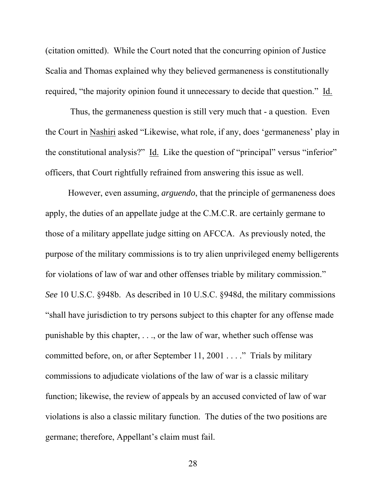(citation omitted). While the Court noted that the concurring opinion of Justice Scalia and Thomas explained why they believed germaneness is constitutionally required, "the majority opinion found it unnecessary to decide that question." Id.

 Thus, the germaneness question is still very much that - a question. Even the Court in Nashiri asked "Likewise, what role, if any, does 'germaneness' play in the constitutional analysis?" Id. Like the question of "principal" versus "inferior" officers, that Court rightfully refrained from answering this issue as well.

However, even assuming, *arguendo*, that the principle of germaneness does apply, the duties of an appellate judge at the C.M.C.R. are certainly germane to those of a military appellate judge sitting on AFCCA. As previously noted, the purpose of the military commissions is to try alien unprivileged enemy belligerents for violations of law of war and other offenses triable by military commission." *See* 10 U.S.C. §948b. As described in 10 U.S.C. §948d, the military commissions "shall have jurisdiction to try persons subject to this chapter for any offense made punishable by this chapter, . . ., or the law of war, whether such offense was committed before, on, or after September 11, 2001 . . . ." Trials by military commissions to adjudicate violations of the law of war is a classic military function; likewise, the review of appeals by an accused convicted of law of war violations is also a classic military function. The duties of the two positions are germane; therefore, Appellant's claim must fail.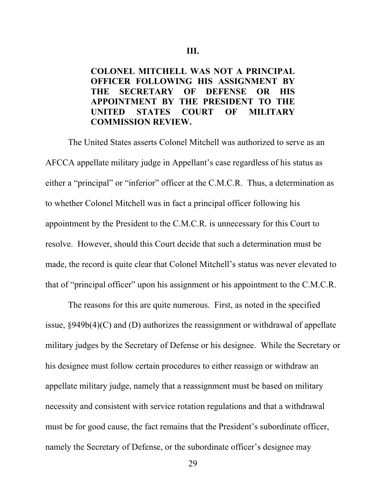## **COLONEL MITCHELL WAS NOT A PRINCIPAL OFFICER FOLLOWING HIS ASSIGNMENT BY THE SECRETARY OF DEFENSE OR HIS APPOINTMENT BY THE PRESIDENT TO THE UNITED STATES COURT OF MILITARY COMMISSION REVIEW.**

The United States asserts Colonel Mitchell was authorized to serve as an AFCCA appellate military judge in Appellant's case regardless of his status as either a "principal" or "inferior" officer at the C.M.C.R. Thus, a determination as to whether Colonel Mitchell was in fact a principal officer following his appointment by the President to the C.M.C.R. is unnecessary for this Court to resolve. However, should this Court decide that such a determination must be made, the record is quite clear that Colonel Mitchell's status was never elevated to that of "principal officer" upon his assignment or his appointment to the C.M.C.R.

The reasons for this are quite numerous. First, as noted in the specified issue, §949b(4)(C) and (D) authorizes the reassignment or withdrawal of appellate military judges by the Secretary of Defense or his designee. While the Secretary or his designee must follow certain procedures to either reassign or withdraw an appellate military judge, namely that a reassignment must be based on military necessity and consistent with service rotation regulations and that a withdrawal must be for good cause, the fact remains that the President's subordinate officer, namely the Secretary of Defense, or the subordinate officer's designee may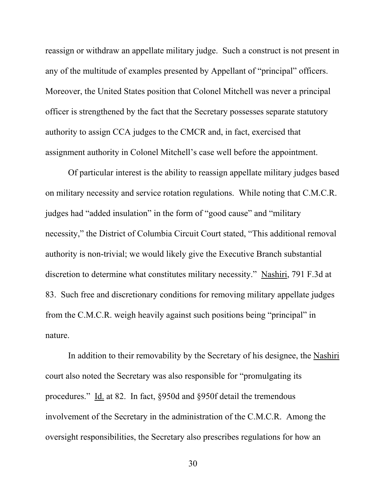reassign or withdraw an appellate military judge. Such a construct is not present in any of the multitude of examples presented by Appellant of "principal" officers. Moreover, the United States position that Colonel Mitchell was never a principal officer is strengthened by the fact that the Secretary possesses separate statutory authority to assign CCA judges to the CMCR and, in fact, exercised that assignment authority in Colonel Mitchell's case well before the appointment.

Of particular interest is the ability to reassign appellate military judges based on military necessity and service rotation regulations. While noting that C.M.C.R. judges had "added insulation" in the form of "good cause" and "military necessity," the District of Columbia Circuit Court stated, "This additional removal authority is non-trivial; we would likely give the Executive Branch substantial discretion to determine what constitutes military necessity." Nashiri, 791 F.3d at 83. Such free and discretionary conditions for removing military appellate judges from the C.M.C.R. weigh heavily against such positions being "principal" in nature.

In addition to their removability by the Secretary of his designee, the Nashiri court also noted the Secretary was also responsible for "promulgating its procedures." Id. at 82. In fact, §950d and §950f detail the tremendous involvement of the Secretary in the administration of the C.M.C.R. Among the oversight responsibilities, the Secretary also prescribes regulations for how an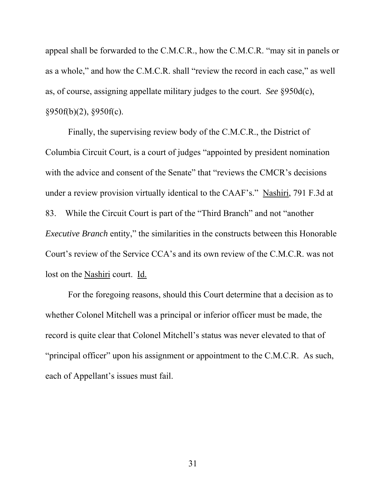appeal shall be forwarded to the C.M.C.R., how the C.M.C.R. "may sit in panels or as a whole," and how the C.M.C.R. shall "review the record in each case," as well as, of course, assigning appellate military judges to the court. *See* §950d(c), §950f(b)(2), §950f(c).

Finally, the supervising review body of the C.M.C.R., the District of Columbia Circuit Court, is a court of judges "appointed by president nomination with the advice and consent of the Senate" that "reviews the CMCR's decisions under a review provision virtually identical to the CAAF's." Nashiri, 791 F.3d at 83. While the Circuit Court is part of the "Third Branch" and not "another *Executive Branch* entity," the similarities in the constructs between this Honorable Court's review of the Service CCA's and its own review of the C.M.C.R. was not lost on the Nashiri court. Id.

For the foregoing reasons, should this Court determine that a decision as to whether Colonel Mitchell was a principal or inferior officer must be made, the record is quite clear that Colonel Mitchell's status was never elevated to that of "principal officer" upon his assignment or appointment to the C.M.C.R. As such, each of Appellant's issues must fail.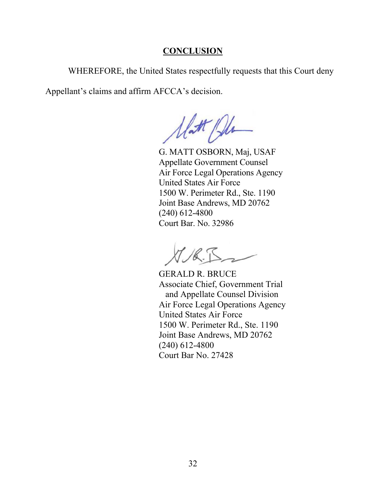## **CONCLUSION**

WHEREFORE, the United States respectfully requests that this Court deny

Appellant's claims and affirm AFCCA's decision.

Unt Pla

 G. MATT OSBORN, Maj, USAF Appellate Government Counsel Air Force Legal Operations Agency United States Air Force 1500 W. Perimeter Rd., Ste. 1190 Joint Base Andrews, MD 20762 (240) 612-4800 Court Bar. No. 32986

GERALD R. BRUCE Associate Chief, Government Trial and Appellate Counsel Division Air Force Legal Operations Agency United States Air Force 1500 W. Perimeter Rd., Ste. 1190 Joint Base Andrews, MD 20762 (240) 612-4800 Court Bar No. 27428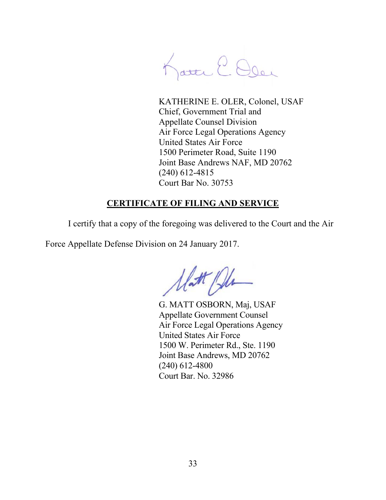Katte E. Oler

KATHERINE E. OLER, Colonel, USAF Chief, Government Trial and Appellate Counsel Division Air Force Legal Operations Agency United States Air Force 1500 Perimeter Road, Suite 1190 Joint Base Andrews NAF, MD 20762 (240) 612-4815 Court Bar No. 30753

# **CERTIFICATE OF FILING AND SERVICE**

I certify that a copy of the foregoing was delivered to the Court and the Air

Force Appellate Defense Division on 24 January 2017.

Matt Plu

 G. MATT OSBORN, Maj, USAF Appellate Government Counsel Air Force Legal Operations Agency United States Air Force 1500 W. Perimeter Rd., Ste. 1190 Joint Base Andrews, MD 20762 (240) 612-4800 Court Bar. No. 32986